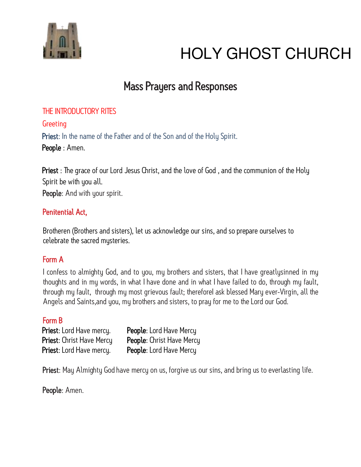

# Mass Prayers and Responses

# THE INTRODUCTORY RITES

# **Greeting**

Priest: In the name of the Father and of the Son and of the Holy Spirit. People : Amen.

Priest : The grace of our Lord Jesus Christ, and the love of God, and the communion of the Holy Spirit be with you all.

People: And with your spirit.

# Penitential Act,

Brotheren (Brothers and sisters), let us acknowledge our sins, and so prepare ourselves to celebrate the sacred mysteries.

# Form A

I confess to almighty God, and to you, my brothers and sisters, that I have greatlysinned in my thoughts and in my words, in what I have done and in what I have failed to do, through my fault, through my fault, through my most grievous fault; thereforel ask blessed Mary ever-Virgin, all the Angels and Saints,and you, my brothers and sisters, to pray for me to the Lord our God.

# Form B

| Priest: Lord Have mercy.         | People: Lord Have Mercy   |
|----------------------------------|---------------------------|
| <b>Priest:</b> Christ Have Mercy | People: Christ Have Mercy |
| <b>Priest:</b> Lord Have mercy.  | People: Lord Have Mercy   |

Priest: May Almighty God have mercy on us, forgive us our sins, and bring us to everlasting life.

People: Amen.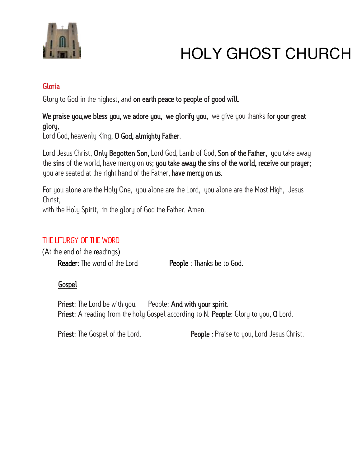

# Gloria

Glory to God in the highest, and on earth peace to people of good will.

# We praise you, we bless you, we adore you, we glorify you, we give you thanks for your great glory,

Lord God, heavenly King, O God, almighty Father.

Lord Jesus Christ, **Only Begotten Son,** Lord God, Lamb of God, **Son of the Father,** you take away the sins of the world, have mercy on us; you take away the sins of the world, receive our prayer; you are seated at the right hand of the Father, have mercy on us.

For you alone are the Holy One, you alone are the Lord, you alone are the Most High, Jesus Christ,

with the Holy Spirit, in the glory of God the Father. Amen.

# THE LITURGY OF THE WORD

(At the end of the readings) Reader: The word of the Lord People : Thanks be to God.

# **Gospel**

Priest: The Lord be with you. People: And with your spirit. Priest: A reading from the holy Gospel according to N. People: Glory to you, O Lord.

**Priest:** The Gospel of the Lord. **People** : Praise to you, Lord Jesus Christ.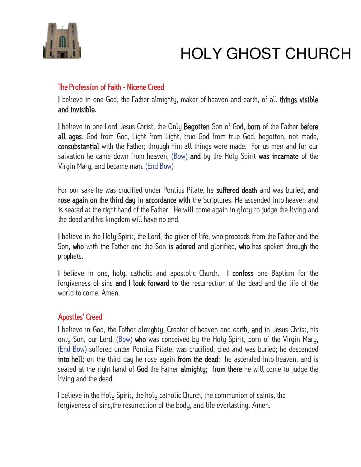

# The Profession of Faith - Nicene Creed

I believe in one God, the Father almighty, maker of heaven and earth, of all things visible and invisible.

I believe in one Lord Jesus Christ, the Only Begotten Son of God, born of the Father before all ages. God from God, Light from Light, true God from true God, begotten, not made, consubstantial with the Father; through him all things were made. For us men and for our salvation he came down from heaven, (Bow) and by the Holy Spirit was incarnate of the Virgin Mary, and became man. (End Bow)

For our sake he was crucified under Pontius Pilate, he suffered death and was buried, and rose again on the third day in accordance with the Scriptures. He ascended into heaven and is seated at the right hand of the Father. He will come again in glory to judge the living and the dead and his kingdom will have no end.

I believe in the Holy Spirit, the Lord, the giver of life, who proceeds from the Father and the Son, who with the Father and the Son is adored and glorified, who has spoken through the prophets.

I believe in one, holy, catholic and apostolic Church. I confess one Baptism for the forgiveness of sins and I look forward to the resurrection of the dead and the life of the world to come. Amen.

#### Apostles' Creed

I believe in God, the Father almighty, Creator of heaven and earth, and in Jesus Christ, his only Son, our Lord, (Bow) who was conceived by the Holy Spirit, born of the Virgin Mary, (End Bow) suffered under Pontius Pilate, was crucified, died and was buried; he descended into hell; on the third day he rose again from the dead; he ascended into heaven, and is seated at the right hand of God the Father almighty; from there he will come to judge the living and the dead.

I believe in the Holy Spirit, the holy catholic Church, the communion of saints, the forgiveness of sins,the resurrection of the body, and life everlasting. Amen.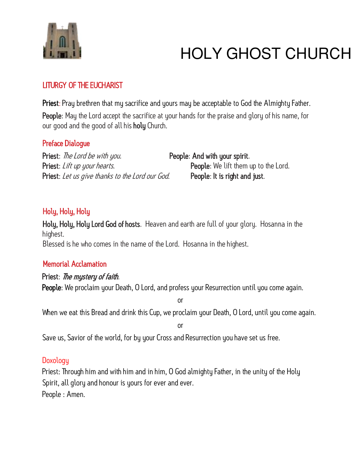

# LITURGY OF THE EUCHARIST

Priest: Pray brethren that my sacrifice and yours may be acceptable to God the Almighty Father. People: May the Lord accept the sacrifice at your hands for the praise and glory of his name, for our good and the good of all his holy Church.

# Preface Dialogue

Priest: The Lord be with you. People: And with your spirit. Priest: Lift up your hearts. The state of the People: We lift them up to the Lord. Priest: Let us give thanks to the Lord our God. People: It is right and just.

# Holy, Holy, Holy

Holy, Holy, Holy Lord God of hosts. Heaven and earth are full of your glory. Hosanna in the highest. Blessed is he who comes in the name of the Lord. Hosanna in the highest.

# Memorial Acclamation

# Priest: The mystery of faith.

People: We proclaim your Death, O Lord, and profess your Resurrection until you come again.

or

When we eat this Bread and drink this Cup, we proclaim your Death, O Lord, until you come again.

or

Save us, Savior of the world, for by your Cross and Resurrection you have set us free.

# **Doxology**

Priest: Through him and with him and in him, O God almighty Father, in the unity of the Holy Spirit, all glory and honour is yours for ever and ever. People : Amen.